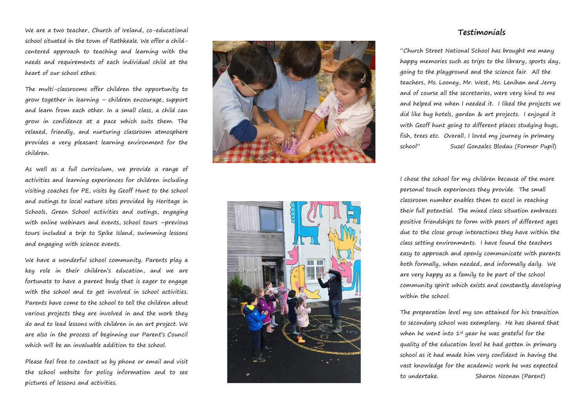We are a two teacher, Church of Ireland, co -educational school situated in the town of Rathkeale. We offer a child centered approach to teaching and learning with the needs and requirements of each individual child at the heart of our school ethos.

The multi -classrooms offer children the opportunity to grow together in learning – children encourage, support and learn from each other. In a small class, a child can grow in confidence at a pace which suits them. The relaxed, friendly, and nurturing classroom atmosphere provides a very pleasant learning environment for the children.

As well as a full curriculum, we provide a range of activities and learning experiences for children including visiting coaches for PE, visits by Geoff Hunt to the school and outings to local nature sites provided by Heritage in Schools, Green School activities and outings, engaging with online webinars and events, school tours –previous tours included a trip to Spike Island, swimming lessons and engaging with science events.

We have a wonderful school community. Parents play a key role in their children's education, and we are fortunate to have a parent body that is eager to engage with the school and to get involved in school activities. Parents have come to the school to tell the children about various projects they are involved in and the work they do and to lead lessons with children in an art project. We are also in the process of beginning our Parent's Council which will be an invaluable addition to the school.

Please feel free to contact us by phone or email and visit the school website for policy information and to see pictures of lessons and activities.





## **Testimonials**

"Church Street National School has brought me many happy memories such as trips to the library, sports day, going to the playground and the science fair. All the teachers, Ms. Looney, Mr. West, Ms. Lenihan and Jerry and of course all the secretaries, were very kind to me and helped me when I needed it. I liked the projects we did like bug hotels, garden & art projects. I enjoyed it with Geoff hunt going to different places studying bugs, fish, trees etc. Overall, I loved my journey in primary school" Suzel Gonzales Blodau ( Former Pupil)

I chose the school for my children because of the more personal touch experiences they provide. The small classroom number enables them to excel in reaching their full potential. The mixed class situation embraces positive friendships to form with peers of different ages due to the close group interactions they have within the class setting environments . I have found the teachers easy to approach and openly communicate with parents both formally, when needed, and informally daily. We are very happy as a family to be part of the school community spirit which exists and constantly developing within the school .

The preparation level my son attained for his transition to secondary school was exemplary. He has shared that when he went into  $1^{st}$  year he was grateful for the quality of the education level he had gotten in primary school as it had made him very confident in having the vast knowledge for the academic work he was expected to undertake. Sharon Noonan (Parent)